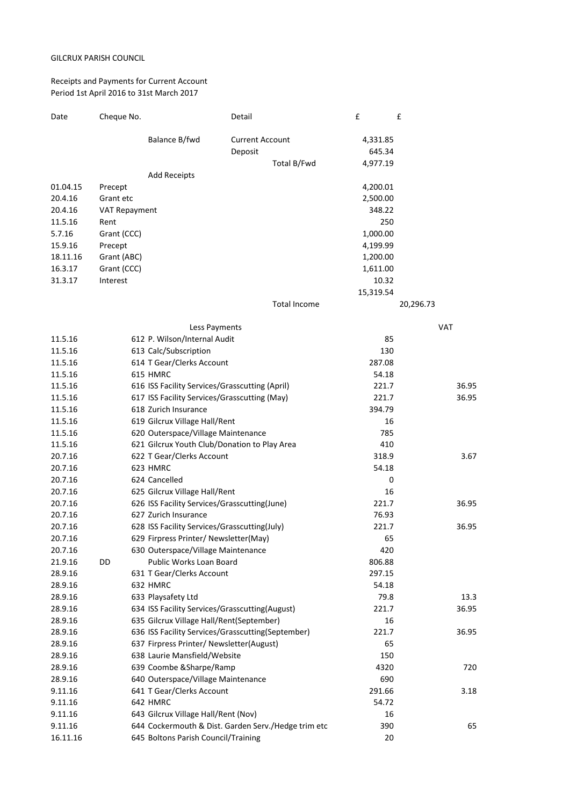## GILCRUX PARISH COUNCIL

## Receipts and Payments for Current Account Period 1st April 2016 to 31st March 2017

| Date     | Cheque No.    |                                                | Detail                                              | £         | £          |
|----------|---------------|------------------------------------------------|-----------------------------------------------------|-----------|------------|
|          |               | Balance B/fwd                                  | <b>Current Account</b>                              | 4,331.85  |            |
|          |               |                                                | Deposit                                             | 645.34    |            |
|          |               |                                                | Total B/Fwd                                         | 4,977.19  |            |
|          |               | <b>Add Receipts</b>                            |                                                     |           |            |
| 01.04.15 | Precept       |                                                |                                                     | 4,200.01  |            |
| 20.4.16  | Grant etc     |                                                |                                                     | 2,500.00  |            |
| 20.4.16  | VAT Repayment |                                                |                                                     | 348.22    |            |
| 11.5.16  | Rent          |                                                |                                                     | 250       |            |
| 5.7.16   | Grant (CCC)   |                                                |                                                     | 1,000.00  |            |
| 15.9.16  | Precept       |                                                |                                                     | 4,199.99  |            |
| 18.11.16 | Grant (ABC)   |                                                |                                                     | 1,200.00  |            |
| 16.3.17  | Grant (CCC)   |                                                |                                                     | 1,611.00  |            |
| 31.3.17  | Interest      |                                                |                                                     | 10.32     |            |
|          |               |                                                |                                                     | 15,319.54 |            |
|          |               |                                                | Total Income                                        |           | 20,296.73  |
|          |               | Less Payments                                  |                                                     |           | <b>VAT</b> |
| 11.5.16  |               | 612 P. Wilson/Internal Audit                   |                                                     | 85        |            |
| 11.5.16  |               | 613 Calc/Subscription                          |                                                     | 130       |            |
| 11.5.16  |               | 614 T Gear/Clerks Account                      |                                                     | 287.08    |            |
| 11.5.16  |               | 615 HMRC                                       |                                                     | 54.18     |            |
| 11.5.16  |               | 616 ISS Facility Services/Grasscutting (April) |                                                     | 221.7     | 36.95      |
| 11.5.16  |               | 617 ISS Facility Services/Grasscutting (May)   |                                                     | 221.7     | 36.95      |
| 11.5.16  |               | 618 Zurich Insurance                           |                                                     | 394.79    |            |
| 11.5.16  |               | 619 Gilcrux Village Hall/Rent                  |                                                     | 16        |            |
| 11.5.16  |               | 620 Outerspace/Village Maintenance             |                                                     | 785       |            |
| 11.5.16  |               | 621 Gilcrux Youth Club/Donation to Play Area   |                                                     | 410       |            |
| 20.7.16  |               | 622 T Gear/Clerks Account                      |                                                     | 318.9     | 3.67       |
| 20.7.16  |               | 623 HMRC                                       |                                                     | 54.18     |            |
| 20.7.16  |               | 624 Cancelled                                  |                                                     | 0         |            |
| 20.7.16  |               | 625 Gilcrux Village Hall/Rent                  |                                                     | 16        |            |
| 20.7.16  |               | 626 ISS Facility Services/Grasscutting(June)   |                                                     | 221.7     | 36.95      |
| 20.7.16  |               | 627 Zurich Insurance                           |                                                     | 76.93     |            |
| 20.7.16  |               | 628 ISS Facility Services/Grasscutting(July)   |                                                     | 221.7     | 36.95      |
| 20.7.16  |               | 629 Firpress Printer/ Newsletter(May)          |                                                     | 65        |            |
| 20.7.16  |               | 630 Outerspace/Village Maintenance             |                                                     | 420       |            |
| 21.9.16  | DD            | Public Works Loan Board                        |                                                     | 806.88    |            |
| 28.9.16  |               | 631 T Gear/Clerks Account                      |                                                     | 297.15    |            |
| 28.9.16  |               | 632 HMRC                                       |                                                     | 54.18     |            |
| 28.9.16  |               | 633 Playsafety Ltd                             |                                                     | 79.8      | 13.3       |
| 28.9.16  |               | 634 ISS Facility Services/Grasscutting(August) |                                                     | 221.7     | 36.95      |
| 28.9.16  |               | 635 Gilcrux Village Hall/Rent(September)       |                                                     | 16        |            |
| 28.9.16  |               |                                                | 636 ISS Facility Services/Grasscutting(September)   | 221.7     | 36.95      |
| 28.9.16  |               | 637 Firpress Printer/ Newsletter(August)       |                                                     | 65        |            |
| 28.9.16  |               | 638 Laurie Mansfield/Website                   |                                                     | 150       |            |
| 28.9.16  |               | 639 Coombe & Sharpe/Ramp                       |                                                     | 4320      | 720        |
| 28.9.16  |               | 640 Outerspace/Village Maintenance             |                                                     | 690       |            |
| 9.11.16  |               | 641 T Gear/Clerks Account                      |                                                     | 291.66    | 3.18       |
| 9.11.16  |               | 642 HMRC                                       |                                                     | 54.72     |            |
| 9.11.16  |               | 643 Gilcrux Village Hall/Rent (Nov)            |                                                     | 16        | 65         |
| 9.11.16  |               |                                                | 644 Cockermouth & Dist. Garden Serv./Hedge trim etc | 390       |            |
| 16.11.16 |               | 645 Boltons Parish Council/Training            |                                                     | 20        |            |